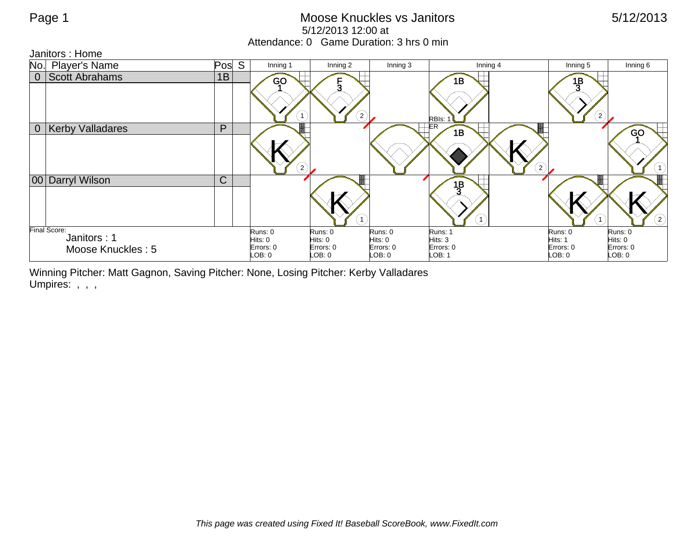## Page 1 **Moose Knuckles vs Janitors** 6/12/2013 5/12/2013 12:00 at Attendance: 0 Game Duration: 3 hrs 0 min

Janitors : Home

| No.            | <b>Player's Name</b>                             | Pos S        | Inning 1                                  | Inning 2                                 | Inning 3                                  | Inning 4                                  | Inning 5                                | Inning 6                                 |
|----------------|--------------------------------------------------|--------------|-------------------------------------------|------------------------------------------|-------------------------------------------|-------------------------------------------|-----------------------------------------|------------------------------------------|
| $\overline{0}$ | <b>Scott Abrahams</b>                            | 1B           | <b>GO</b><br>$\mathbf{1}$                 | $\left( 2\right)$                        |                                           | 1B<br>RBIs:                               | $\frac{1}{2}$<br>$\left( 2\right)$      |                                          |
| 0 <sup>1</sup> | <b>Kerby Valladares</b>                          | P            | $\left( 2\right)$                         |                                          |                                           | ΕR<br>1B<br>$\hat{c}$                     |                                         | GO                                       |
|                | 00 Darryl Wilson                                 | $\mathsf{C}$ |                                           |                                          |                                           | $\frac{1}{2}$<br>1)                       |                                         | $\circled{2}$                            |
|                | Final Score:<br>Janitors: 1<br>Moose Knuckles: 5 |              | Runs: 0<br>Hits: 0<br>Errors: 0<br>LOB: 0 | Runs: 0<br>Hits: 0<br>Errors: 0<br>LOB:0 | Runs: 0<br>Hits: 0<br>Errors: 0<br>LOB: 0 | Runs: 1<br>Hits: 3<br>Errors: 0<br>LOB: 1 | Runs: 0<br>Hits: 1<br>Errors: 0<br>DB:0 | Runs: 0<br>Hits: 0<br>Errors: 0<br>DB: 0 |

Winning Pitcher: Matt Gagnon, Saving Pitcher: None, Losing Pitcher: Kerby Valladares Umpires: , , ,